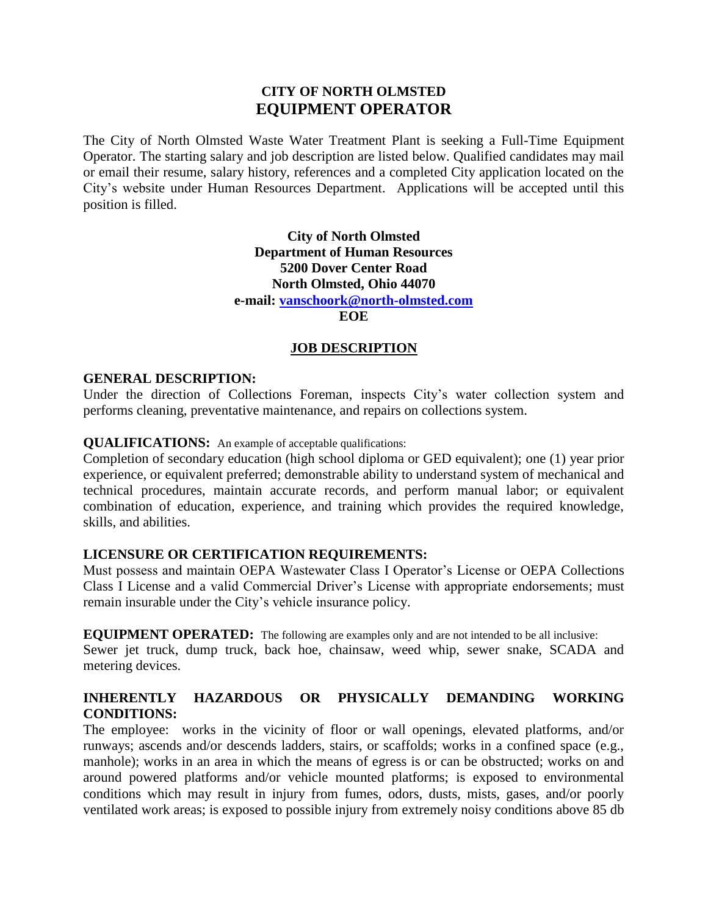# **CITY OF NORTH OLMSTED EQUIPMENT OPERATOR**

The City of North Olmsted Waste Water Treatment Plant is seeking a Full-Time Equipment Operator. The starting salary and job description are listed below. Qualified candidates may mail or email their resume, salary history, references and a completed City application located on the City's website under Human Resources Department. Applications will be accepted until this position is filled.

> **City of North Olmsted Department of Human Resources 5200 Dover Center Road North Olmsted, Ohio 44070 e-mail: [vanschoork@north-olmsted.com](mailto:vanschoork@north-olmsted.com)**

**EOE**

#### **JOB DESCRIPTION**

#### **GENERAL DESCRIPTION:**

Under the direction of Collections Foreman, inspects City's water collection system and performs cleaning, preventative maintenance, and repairs on collections system.

#### **QUALIFICATIONS:** An example of acceptable qualifications:

Completion of secondary education (high school diploma or GED equivalent); one (1) year prior experience, or equivalent preferred; demonstrable ability to understand system of mechanical and technical procedures, maintain accurate records, and perform manual labor; or equivalent combination of education, experience, and training which provides the required knowledge, skills, and abilities.

### **LICENSURE OR CERTIFICATION REQUIREMENTS:**

Must possess and maintain OEPA Wastewater Class I Operator's License or OEPA Collections Class I License and a valid Commercial Driver's License with appropriate endorsements; must remain insurable under the City's vehicle insurance policy.

**EQUIPMENT OPERATED:** The following are examples only and are not intended to be all inclusive:

Sewer jet truck, dump truck, back hoe, chainsaw, weed whip, sewer snake, SCADA and metering devices.

## **INHERENTLY HAZARDOUS OR PHYSICALLY DEMANDING WORKING CONDITIONS:**

The employee: works in the vicinity of floor or wall openings, elevated platforms, and/or runways; ascends and/or descends ladders, stairs, or scaffolds; works in a confined space (e.g., manhole); works in an area in which the means of egress is or can be obstructed; works on and around powered platforms and/or vehicle mounted platforms; is exposed to environmental conditions which may result in injury from fumes, odors, dusts, mists, gases, and/or poorly ventilated work areas; is exposed to possible injury from extremely noisy conditions above 85 db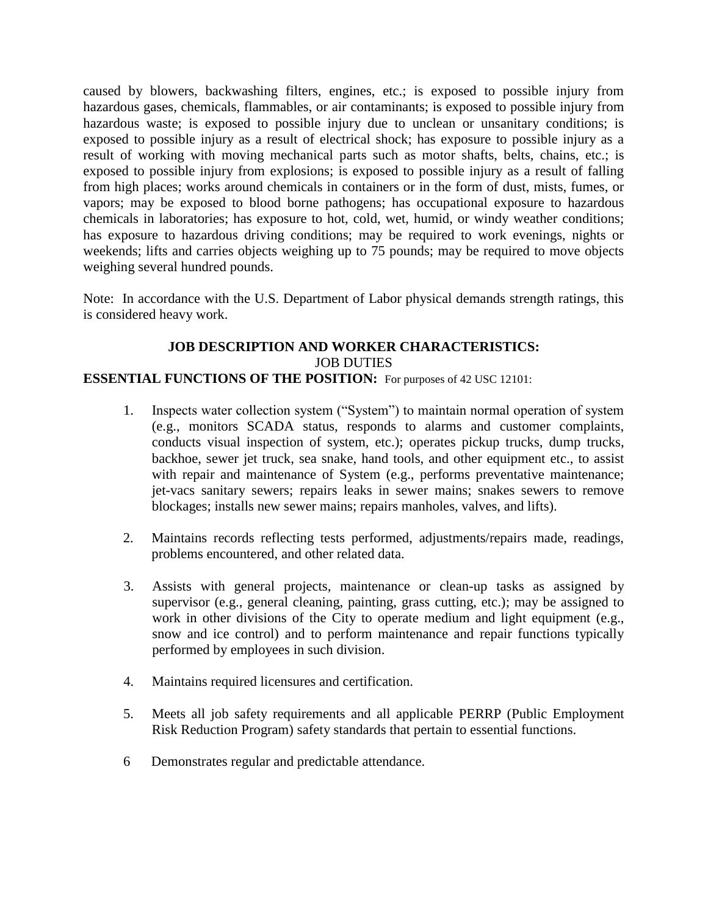caused by blowers, backwashing filters, engines, etc.; is exposed to possible injury from hazardous gases, chemicals, flammables, or air contaminants; is exposed to possible injury from hazardous waste; is exposed to possible injury due to unclean or unsanitary conditions; is exposed to possible injury as a result of electrical shock; has exposure to possible injury as a result of working with moving mechanical parts such as motor shafts, belts, chains, etc.; is exposed to possible injury from explosions; is exposed to possible injury as a result of falling from high places; works around chemicals in containers or in the form of dust, mists, fumes, or vapors; may be exposed to blood borne pathogens; has occupational exposure to hazardous chemicals in laboratories; has exposure to hot, cold, wet, humid, or windy weather conditions; has exposure to hazardous driving conditions; may be required to work evenings, nights or weekends; lifts and carries objects weighing up to 75 pounds; may be required to move objects weighing several hundred pounds.

Note: In accordance with the U.S. Department of Labor physical demands strength ratings, this is considered heavy work.

# **JOB DESCRIPTION AND WORKER CHARACTERISTICS:** JOB DUTIES

### **ESSENTIAL FUNCTIONS OF THE POSITION:** For purposes of 42 USC 12101:

- 1. Inspects water collection system ("System") to maintain normal operation of system (e.g., monitors SCADA status, responds to alarms and customer complaints, conducts visual inspection of system, etc.); operates pickup trucks, dump trucks, backhoe, sewer jet truck, sea snake, hand tools, and other equipment etc., to assist with repair and maintenance of System (e.g., performs preventative maintenance; jet-vacs sanitary sewers; repairs leaks in sewer mains; snakes sewers to remove blockages; installs new sewer mains; repairs manholes, valves, and lifts).
- 2. Maintains records reflecting tests performed, adjustments/repairs made, readings, problems encountered, and other related data.
- 3. Assists with general projects, maintenance or clean-up tasks as assigned by supervisor (e.g., general cleaning, painting, grass cutting, etc.); may be assigned to work in other divisions of the City to operate medium and light equipment (e.g., snow and ice control) and to perform maintenance and repair functions typically performed by employees in such division.
- 4. Maintains required licensures and certification.
- 5. Meets all job safety requirements and all applicable PERRP (Public Employment Risk Reduction Program) safety standards that pertain to essential functions.
- 6 Demonstrates regular and predictable attendance.